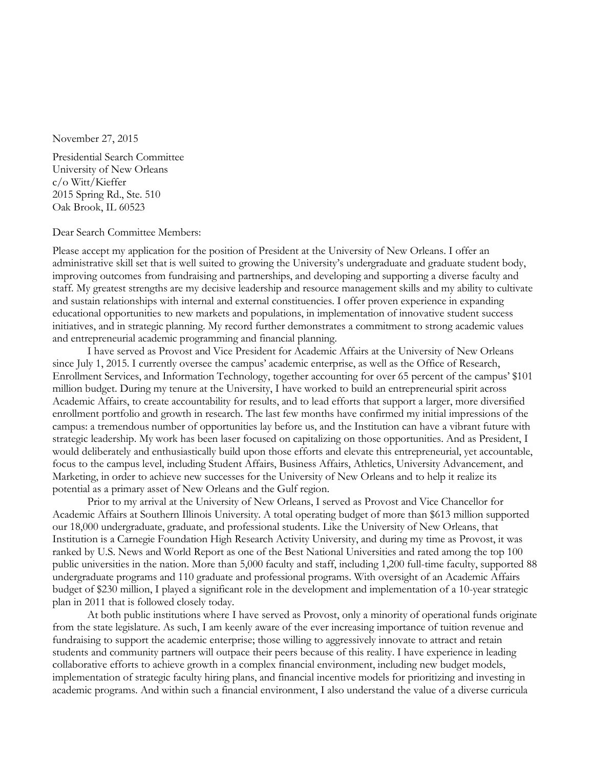November 27, 2015

Presidential Search Committee University of New Orleans c/o Witt/Kieffer 2015 Spring Rd., Ste. 510 Oak Brook, IL 60523

Dear Search Committee Members:

Please accept my application for the position of President at the University of New Orleans. I offer an administrative skill set that is well suited to growing the University's undergraduate and graduate student body, improving outcomes from fundraising and partnerships, and developing and supporting a diverse faculty and staff. My greatest strengths are my decisive leadership and resource management skills and my ability to cultivate and sustain relationships with internal and external constituencies. I offer proven experience in expanding educational opportunities to new markets and populations, in implementation of innovative student success initiatives, and in strategic planning. My record further demonstrates a commitment to strong academic values and entrepreneurial academic programming and financial planning.

I have served as Provost and Vice President for Academic Affairs at the University of New Orleans since July 1, 2015. I currently oversee the campus' academic enterprise, as well as the Office of Research, Enrollment Services, and Information Technology, together accounting for over 65 percent of the campus' \$101 million budget. During my tenure at the University, I have worked to build an entrepreneurial spirit across Academic Affairs, to create accountability for results, and to lead efforts that support a larger, more diversified enrollment portfolio and growth in research. The last few months have confirmed my initial impressions of the campus: a tremendous number of opportunities lay before us, and the Institution can have a vibrant future with strategic leadership. My work has been laser focused on capitalizing on those opportunities. And as President, I would deliberately and enthusiastically build upon those efforts and elevate this entrepreneurial, yet accountable, focus to the campus level, including Student Affairs, Business Affairs, Athletics, University Advancement, and Marketing, in order to achieve new successes for the University of New Orleans and to help it realize its potential as a primary asset of New Orleans and the Gulf region.

Prior to my arrival at the University of New Orleans, I served as Provost and Vice Chancellor for Academic Affairs at Southern Illinois University. A total operating budget of more than \$613 million supported our 18,000 undergraduate, graduate, and professional students. Like the University of New Orleans, that Institution is a Carnegie Foundation High Research Activity University, and during my time as Provost, it was ranked by U.S. News and World Report as one of the Best National Universities and rated among the top 100 public universities in the nation. More than 5,000 faculty and staff, including 1,200 full-time faculty, supported 88 undergraduate programs and 110 graduate and professional programs. With oversight of an Academic Affairs budget of \$230 million, I played a significant role in the development and implementation of a 10-year strategic plan in 2011 that is followed closely today.

At both public institutions where I have served as Provost, only a minority of operational funds originate from the state legislature. As such, I am keenly aware of the ever increasing importance of tuition revenue and fundraising to support the academic enterprise; those willing to aggressively innovate to attract and retain students and community partners will outpace their peers because of this reality. I have experience in leading collaborative efforts to achieve growth in a complex financial environment, including new budget models, implementation of strategic faculty hiring plans, and financial incentive models for prioritizing and investing in academic programs. And within such a financial environment, I also understand the value of a diverse curricula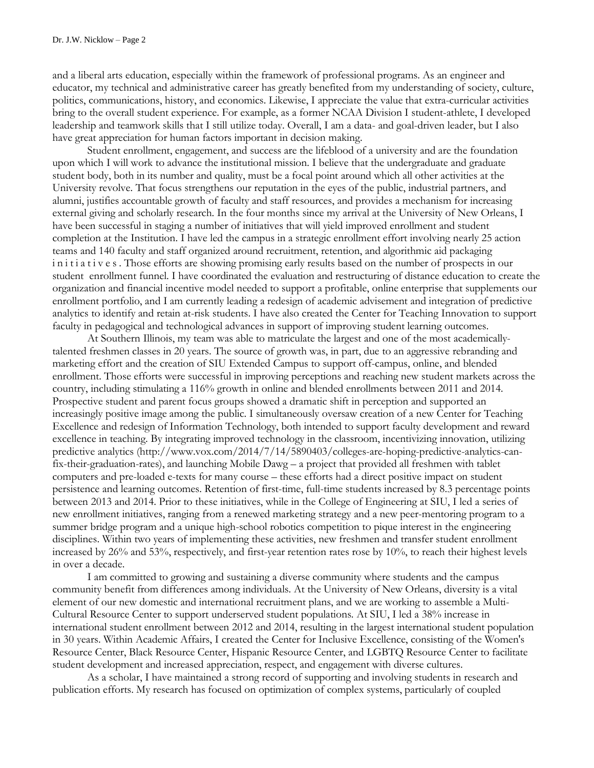and a liberal arts education, especially within the framework of professional programs. As an engineer and educator, my technical and administrative career has greatly benefited from my understanding of society, culture, politics, communications, history, and economics. Likewise, I appreciate the value that extra-curricular activities bring to the overall student experience. For example, as a former NCAA Division I student-athlete, I developed leadership and teamwork skills that I still utilize today. Overall, I am a data- and goal-driven leader, but I also have great appreciation for human factors important in decision making.

Student enrollment, engagement, and success are the lifeblood of a university and are the foundation upon which I will work to advance the institutional mission. I believe that the undergraduate and graduate student body, both in its number and quality, must be a focal point around which all other activities at the University revolve. That focus strengthens our reputation in the eyes of the public, industrial partners, and alumni, justifies accountable growth of faculty and staff resources, and provides a mechanism for increasing external giving and scholarly research. In the four months since my arrival at the University of New Orleans, I have been successful in staging a number of initiatives that will yield improved enrollment and student completion at the Institution. I have led the campus in a strategic enrollment effort involving nearly 25 action teams and 140 faculty and staff organized around recruitment, retention, and algorithmic aid packaging initiatives . Those efforts are showing promising early results based on the number of prospects in our student enrollment funnel. I have coordinated the evaluation and restructuring of distance education to create the organization and financial incentive model needed to support a profitable, online enterprise that supplements our enrollment portfolio, and I am currently leading a redesign of academic advisement and integration of predictive analytics to identify and retain at-risk students. I have also created the Center for Teaching Innovation to support faculty in pedagogical and technological advances in support of improving student learning outcomes.

At Southern Illinois, my team was able to matriculate the largest and one of the most academicallytalented freshmen classes in 20 years. The source of growth was, in part, due to an aggressive rebranding and marketing effort and the creation of SIU Extended Campus to support off-campus, online, and blended enrollment. Those efforts were successful in improving perceptions and reaching new student markets across the country, including stimulating a 116% growth in online and blended enrollments between 2011 and 2014. Prospective student and parent focus groups showed a dramatic shift in perception and supported an increasingly positive image among the public. I simultaneously oversaw creation of a new Center for Teaching Excellence and redesign of Information Technology, both intended to support faculty development and reward excellence in teaching. By integrating improved technology in the classroom, incentivizing innovation, utilizing predictive analytics [\(http://www.vox.com/2014/7/14/5890403/colleges-are-hoping-predictive-analytics-can](http://www.vox.com/2014/7/14/5890403/colleges-are-hoping-predictive-analytics-can-fix-their-graduation-rates)[fix-their-graduation-rates\)](http://www.vox.com/2014/7/14/5890403/colleges-are-hoping-predictive-analytics-can-fix-their-graduation-rates), and launching Mobile Dawg – a project that provided all freshmen with tablet computers and pre-loaded e-texts for many course – these efforts had a direct positive impact on student persistence and learning outcomes. Retention of first-time, full-time students increased by 8.3 percentage points between 2013 and 2014. Prior to these initiatives, while in the College of Engineering at SIU, I led a series of new enrollment initiatives, ranging from a renewed marketing strategy and a new peer-mentoring program to a summer bridge program and a unique high-school robotics competition to pique interest in the engineering disciplines. Within two years of implementing these activities, new freshmen and transfer student enrollment increased by 26% and 53%, respectively, and first-year retention rates rose by 10%, to reach their highest levels in over a decade.

I am committed to growing and sustaining a diverse community where students and the campus community benefit from differences among individuals. At the University of New Orleans, diversity is a vital element of our new domestic and international recruitment plans, and we are working to assemble a Multi-Cultural Resource Center to support underserved student populations. At SIU, I led a 38% increase in international student enrollment between 2012 and 2014, resulting in the largest international student population in 30 years. Within Academic Affairs, I created the Center for Inclusive Excellence, consisting of the Women's Resource Center, Black Resource Center, Hispanic Resource Center, and LGBTQ Resource Center to facilitate student development and increased appreciation, respect, and engagement with diverse cultures.

As a scholar, I have maintained a strong record of supporting and involving students in research and publication efforts. My research has focused on optimization of complex systems, particularly of coupled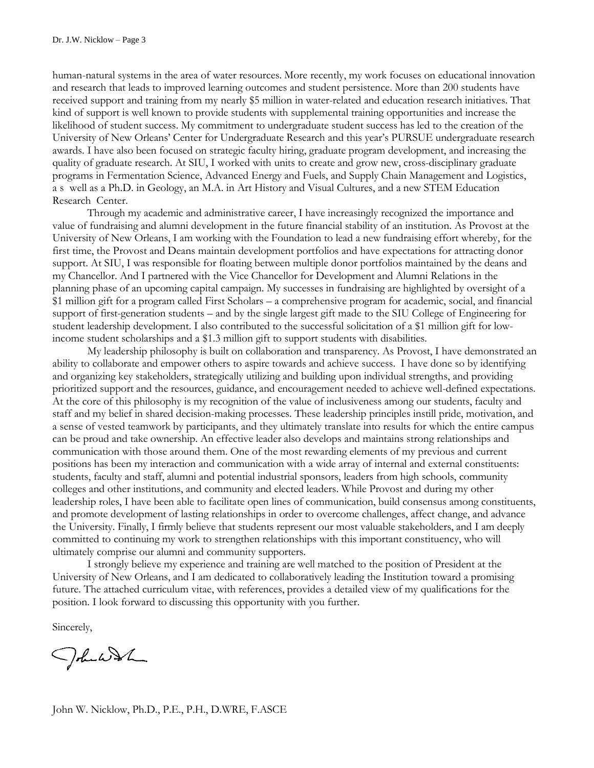human-natural systems in the area of water resources. More recently, my work focuses on educational innovation and research that leads to improved learning outcomes and student persistence. More than 200 students have received support and training from my nearly \$5 million in water-related and education research initiatives. That kind of support is well known to provide students with supplemental training opportunities and increase the likelihood of student success. My commitment to undergraduate student success has led to the creation of the University of New Orleans' Center for Undergraduate Research and this year's PURSUE undergraduate research awards. I have also been focused on strategic faculty hiring, graduate program development, and increasing the quality of graduate research. At SIU, I worked with units to create and grow new, cross-disciplinary graduate programs in Fermentation Science, Advanced Energy and Fuels, and Supply Chain Management and Logistics, a s well as a Ph.D. in Geology, an M.A. in Art History and Visual Cultures, and a new STEM Education Research Center.

Through my academic and administrative career, I have increasingly recognized the importance and value of fundraising and alumni development in the future financial stability of an institution. As Provost at the University of New Orleans, I am working with the Foundation to lead a new fundraising effort whereby, for the first time, the Provost and Deans maintain development portfolios and have expectations for attracting donor support. At SIU, I was responsible for floating between multiple donor portfolios maintained by the deans and my Chancellor. And I partnered with the Vice Chancellor for Development and Alumni Relations in the planning phase of an upcoming capital campaign. My successes in fundraising are highlighted by oversight of a \$1 million gift for a program called First Scholars – a comprehensive program for academic, social, and financial support of first-generation students – and by the single largest gift made to the SIU College of Engineering for student leadership development. I also contributed to the successful solicitation of a \$1 million gift for lowincome student scholarships and a \$1.3 million gift to support students with disabilities.

My leadership philosophy is built on collaboration and transparency. As Provost, I have demonstrated an ability to collaborate and empower others to aspire towards and achieve success. I have done so by identifying and organizing key stakeholders, strategically utilizing and building upon individual strengths, and providing prioritized support and the resources, guidance, and encouragement needed to achieve well-defined expectations. At the core of this philosophy is my recognition of the value of inclusiveness among our students, faculty and staff and my belief in shared decision-making processes. These leadership principles instill pride, motivation, and a sense of vested teamwork by participants, and they ultimately translate into results for which the entire campus can be proud and take ownership. An effective leader also develops and maintains strong relationships and communication with those around them. One of the most rewarding elements of my previous and current positions has been my interaction and communication with a wide array of internal and external constituents: students, faculty and staff, alumni and potential industrial sponsors, leaders from high schools, community colleges and other institutions, and community and elected leaders. While Provost and during my other leadership roles, I have been able to facilitate open lines of communication, build consensus among constituents, and promote development of lasting relationships in order to overcome challenges, affect change, and advance the University. Finally, I firmly believe that students represent our most valuable stakeholders, and I am deeply committed to continuing my work to strengthen relationships with this important constituency, who will ultimately comprise our alumni and community supporters.

I strongly believe my experience and training are well matched to the position of President at the University of New Orleans, and I am dedicated to collaboratively leading the Institution toward a promising future. The attached curriculum vitae, with references, provides a detailed view of my qualifications for the position. I look forward to discussing this opportunity with you further.

Sincerely,

John Work

John W. Nicklow, Ph.D., P.E., P.H., D.WRE, F.ASCE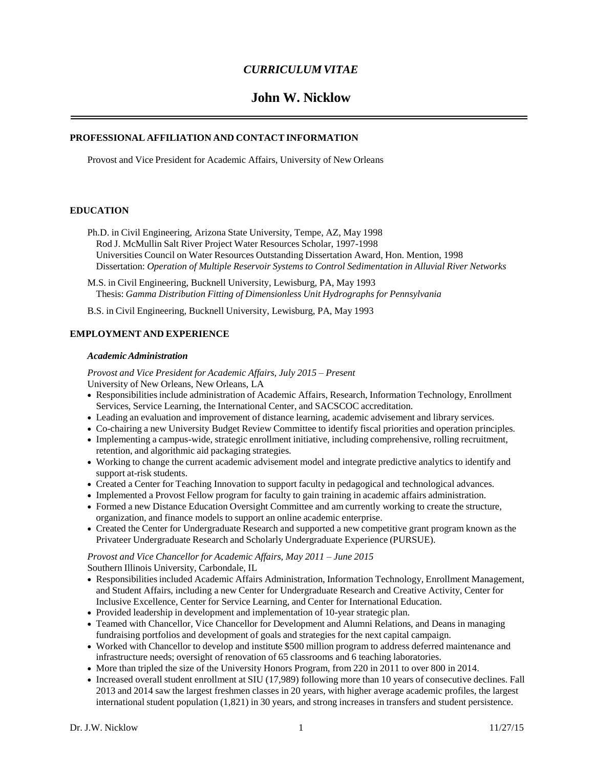## *CURRICULUM VITAE*

# **John W. Nicklow**

#### **PROFESSIONAL AFFILIATION AND CONTACT INFORMATION**

Provost and Vice President for Academic Affairs, University of New Orleans

## **EDUCATION**

- Ph.D. in Civil Engineering, Arizona State University, Tempe, AZ, May 1998 Rod J. McMullin Salt River Project Water Resources Scholar, 1997-1998 Universities Council on Water Resources Outstanding Dissertation Award, Hon. Mention, 1998 Dissertation: *Operation of Multiple Reservoir Systems to Control Sedimentation in Alluvial River Networks*
- M.S. in Civil Engineering, Bucknell University, Lewisburg, PA, May 1993 Thesis: *Gamma Distribution Fitting of Dimensionless Unit Hydrographs for Pennsylvania*
- B.S. in Civil Engineering, Bucknell University, Lewisburg, PA, May 1993

## **EMPLOYMENT AND EXPERIENCE**

#### *AcademicAdministration*

*Provost and Vice President for Academic Affairs, July 2015 – Present* University of New Orleans, New Orleans, LA

- Responsibilities include administration of Academic Affairs, Research, Information Technology, Enrollment Services, Service Learning, the International Center, and SACSCOC accreditation.
- Leading an evaluation and improvement of distance learning, academic advisement and library services.
- Co-chairing a new University Budget Review Committee to identify fiscal priorities and operation principles.
- Implementing a campus-wide, strategic enrollment initiative, including comprehensive, rolling recruitment, retention, and algorithmic aid packaging strategies.
- Working to change the current academic advisement model and integrate predictive analytics to identify and support at-risk students.
- Created a Center for Teaching Innovation to support faculty in pedagogical and technological advances.
- Implemented a Provost Fellow program for faculty to gain training in academic affairs administration.
- Formed a new Distance Education Oversight Committee and am currently working to create the structure, organization, and finance models to support an online academic enterprise.
- Created the Center for Undergraduate Research and supported a new competitive grant program known as the Privateer Undergraduate Research and Scholarly Undergraduate Experience (PURSUE).

#### *Provost and Vice Chancellor for Academic Affairs, May 2011 – June 2015* Southern Illinois University, Carbondale, IL

- Responsibilities included Academic Affairs Administration, Information Technology, Enrollment Management, and Student Affairs, including a new Center for Undergraduate Research and Creative Activity, Center for Inclusive Excellence, Center for Service Learning, and Center for International Education.
- Provided leadership in development and implementation of 10-year strategic plan.
- Teamed with Chancellor, Vice Chancellor for Development and Alumni Relations, and Deans in managing fundraising portfolios and development of goals and strategies for the next capital campaign.
- Worked with Chancellor to develop and institute \$500 million program to address deferred maintenance and infrastructure needs; oversight of renovation of 65 classrooms and 6 teaching laboratories.
- More than tripled the size of the University Honors Program, from 220 in 2011 to over 800 in 2014.
- Increased overall student enrollment at SIU (17,989) following more than 10 years of consecutive declines. Fall 2013 and 2014 saw the largest freshmen classes in 20 years, with higher average academic profiles, the largest international student population (1,821) in 30 years, and strong increases in transfers and student persistence.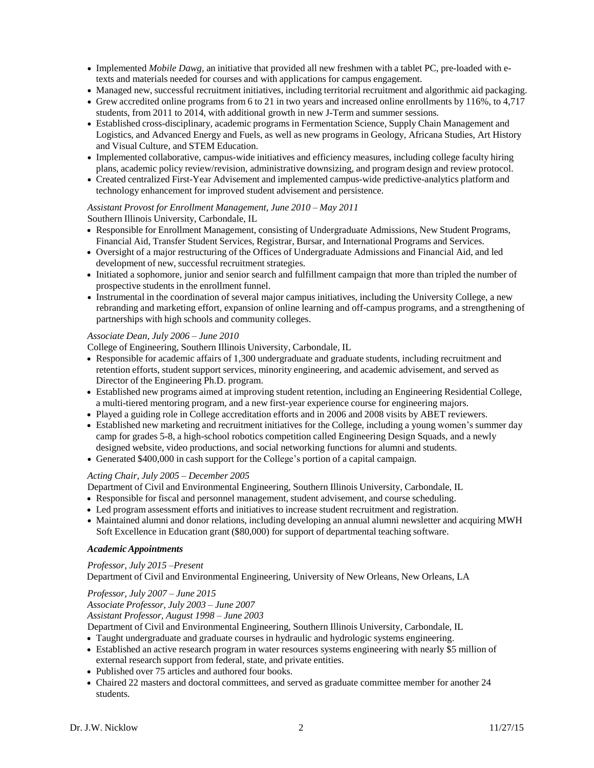- Implemented *Mobile Dawg*, an initiative that provided all new freshmen with a tablet PC, pre-loaded with etexts and materials needed for courses and with applications for campus engagement.
- Managed new, successful recruitment initiatives, including territorial recruitment and algorithmic aid packaging.
- Grew accredited online programs from 6 to 21 in two years and increased online enrollments by 116%, to 4,717 students, from 2011 to 2014, with additional growth in new J-Term and summer sessions.
- Established cross-disciplinary, academic programs in Fermentation Science, Supply Chain Management and Logistics, and Advanced Energy and Fuels, as well as new programs in Geology, Africana Studies, Art History and Visual Culture, and STEM Education.
- Implemented collaborative, campus-wide initiatives and efficiency measures, including college faculty hiring plans, academic policy review/revision, administrative downsizing, and program design and review protocol.
- Created centralized First-Year Advisement and implemented campus-wide predictive-analytics platform and technology enhancement for improved student advisement and persistence.

## *Assistant Provost for Enrollment Management, June 2010 – May 2011* Southern Illinois University, Carbondale, IL

- Responsible for Enrollment Management, consisting of Undergraduate Admissions, New Student Programs, Financial Aid, Transfer Student Services, Registrar, Bursar, and International Programs and Services.
- Oversight of a major restructuring of the Offices of Undergraduate Admissions and Financial Aid, and led development of new, successful recruitment strategies.
- Initiated a sophomore, junior and senior search and fulfillment campaign that more than tripled the number of prospective students in the enrollment funnel.
- Instrumental in the coordination of several major campus initiatives, including the University College, a new rebranding and marketing effort, expansion of online learning and off-campus programs, and a strengthening of partnerships with high schools and community colleges.

## *Associate Dean, July 2006 – June 2010*

College of Engineering, Southern Illinois University, Carbondale, IL

- Responsible for academic affairs of 1,300 undergraduate and graduate students, including recruitment and retention efforts, student support services, minority engineering, and academic advisement, and served as Director of the Engineering Ph.D. program.
- Established new programs aimed at improving student retention, including an Engineering Residential College, a multi-tiered mentoring program, and a new first-year experience course for engineering majors.
- Played a guiding role in College accreditation efforts and in 2006 and 2008 visits by ABET reviewers.
- Established new marketing and recruitment initiatives for the College, including a young women's summer day camp for grades 5-8, a high-school robotics competition called Engineering Design Squads, and a newly designed website, video productions, and social networking functions for alumni and students.
- Generated \$400,000 in cash support for the College's portion of a capital campaign.

## *Acting Chair, July 2005 – December 2005*

Department of Civil and Environmental Engineering, Southern Illinois University, Carbondale, IL

- Responsible for fiscal and personnel management, student advisement, and course scheduling.
- Led program assessment efforts and initiatives to increase student recruitment and registration.
- Maintained alumni and donor relations, including developing an annual alumni newsletter and acquiring MWH Soft Excellence in Education grant (\$80,000) for support of departmental teaching software.

## *AcademicAppointments*

*Professor, July 2015 –Present* Department of Civil and Environmental Engineering, University of New Orleans, New Orleans, LA

*Professor, July 2007 – June 2015 Associate Professor, July 2003 – June 2007 Assistant Professor, August 1998 – June 2003*

- Department of Civil and Environmental Engineering, Southern Illinois University, Carbondale, IL
- Taught undergraduate and graduate courses in hydraulic and hydrologic systems engineering.
- Established an active research program in water resources systems engineering with nearly \$5 million of external research support from federal, state, and private entities.
- Published over 75 articles and authored four books.
- Chaired 22 masters and doctoral committees, and served as graduate committee member for another 24 students.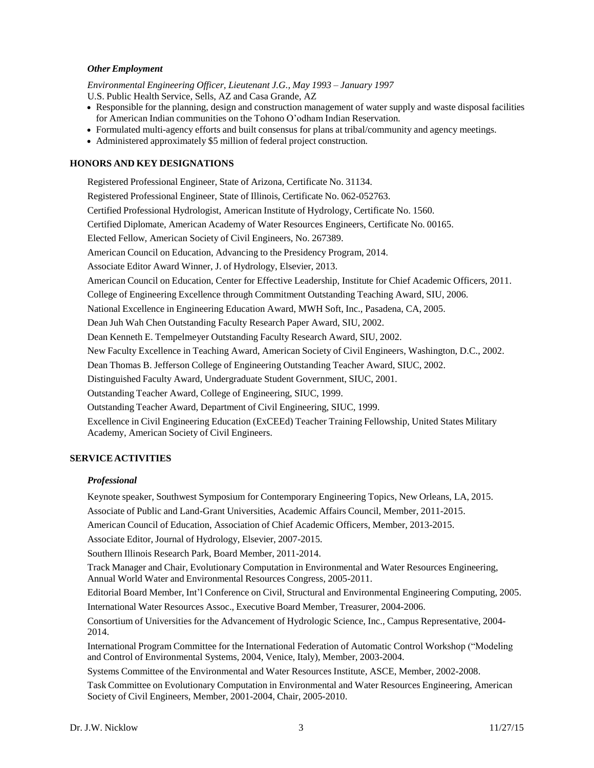## *Other Employment*

*Environmental Engineering Officer, Lieutenant J.G., May 1993 – January 1997* U.S. Public Health Service, Sells, AZ and Casa Grande, AZ

- Responsible for the planning, design and construction management of water supply and waste disposal facilities for American Indian communities on the Tohono O'odham Indian Reservation.
- Formulated multi-agency efforts and built consensus for plans at tribal/community and agency meetings.
- Administered approximately \$5 million of federal project construction.

## **HONORS AND KEY DESIGNATIONS**

Registered Professional Engineer, State of Arizona, Certificate No. 31134. Registered Professional Engineer, State of Illinois, Certificate No. 062-052763. Certified Professional Hydrologist, American Institute of Hydrology, Certificate No. 1560. Certified Diplomate, American Academy of Water Resources Engineers, Certificate No. 00165. Elected Fellow, American Society of Civil Engineers, No. 267389. American Council on Education, Advancing to the Presidency Program, 2014. Associate Editor Award Winner, J. of Hydrology, Elsevier, 2013. American Council on Education, Center for Effective Leadership, Institute for Chief Academic Officers, 2011. College of Engineering Excellence through Commitment Outstanding Teaching Award, SIU, 2006. National Excellence in Engineering Education Award, MWH Soft, Inc., Pasadena, CA, 2005. Dean Juh Wah Chen Outstanding Faculty Research Paper Award, SIU, 2002. Dean Kenneth E. Tempelmeyer Outstanding Faculty Research Award, SIU, 2002. New Faculty Excellence in Teaching Award, American Society of Civil Engineers, Washington, D.C., 2002. Dean Thomas B. Jefferson College of Engineering Outstanding Teacher Award, SIUC, 2002. Distinguished Faculty Award, Undergraduate Student Government, SIUC, 2001. Outstanding Teacher Award, College of Engineering, SIUC, 1999. Outstanding Teacher Award, Department of Civil Engineering, SIUC, 1999. Excellence in Civil Engineering Education (ExCEEd) Teacher Training Fellowship, United States Military Academy, American Society of Civil Engineers.

## **SERVICEACTIVITIES**

#### *Professional*

Keynote speaker, Southwest Symposium for Contemporary Engineering Topics, New Orleans, LA, 2015.

Associate of Public and Land-Grant Universities, Academic Affairs Council, Member, 2011-2015.

American Council of Education, Association of Chief Academic Officers, Member, 2013-2015.

Associate Editor, Journal of Hydrology, Elsevier, 2007-2015.

Southern Illinois Research Park, Board Member, 2011-2014.

Track Manager and Chair, Evolutionary Computation in Environmental and Water Resources Engineering, Annual World Water and Environmental Resources Congress, 2005-2011.

Editorial Board Member, Int'l Conference on Civil, Structural and Environmental Engineering Computing, 2005.

International Water Resources Assoc., Executive Board Member, Treasurer, 2004-2006.

Consortium of Universities for the Advancement of Hydrologic Science, Inc., Campus Representative, 2004- 2014.

International Program Committee for the International Federation of Automatic Control Workshop ("Modeling and Control of Environmental Systems, 2004, Venice, Italy), Member, 2003-2004.

Systems Committee of the Environmental and Water Resources Institute, ASCE, Member, 2002-2008.

Task Committee on Evolutionary Computation in Environmental and Water Resources Engineering, American Society of Civil Engineers, Member, 2001-2004, Chair, 2005-2010.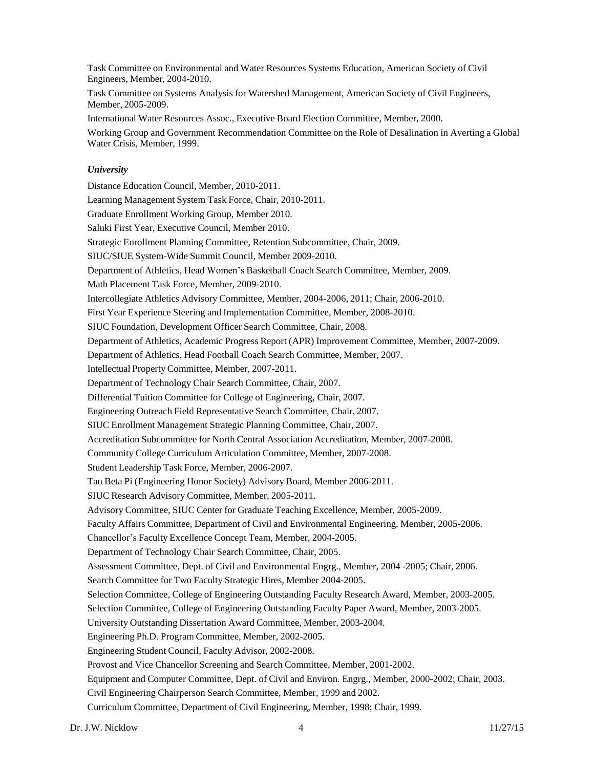Task Committee on Environmental and Water Resources Systems Education, American Society of Civil Engineers, Member, 2004-2010.

Task Committee on Systems Analysis for Watershed Management, American Society of Civil Engineers, Member, 2005-2009.

International Water Resources Assoc., Executive Board Election Committee, Member, 2000.

Working Group and Government Recommendation Committee on the Role of Desalination in Averting a Global Water Crisis, Member, 1999.

#### *University*

Distance Education Council, Member, 2010-2011. Learning Management System Task Force, Chair, 2010-2011. Graduate Enrollment Working Group, Member 2010. Saluki First Year, Executive Council, Member 2010. Strategic Enrollment Planning Committee, Retention Subcommittee, Chair, 2009. SIUC/SIUE System-Wide Summit Council, Member 2009-2010. Department of Athletics, Head Women's Basketball Coach Search Committee, Member, 2009. Math Placement Task Force, Member, 2009-2010. Intercollegiate Athletics Advisory Committee, Member, 2004-2006, 2011; Chair, 2006-2010. First Year Experience Steering and Implementation Committee, Member, 2008-2010. SIUC Foundation, Development Officer Search Committee, Chair, 2008. Department of Athletics, Academic Progress Report (APR) Improvement Committee, Member, 2007-2009. Department of Athletics, Head Football Coach Search Committee, Member, 2007. Intellectual Property Committee, Member, 2007-2011. Department of Technology Chair Search Committee, Chair, 2007. Differential Tuition Committee for College of Engineering, Chair, 2007. Engineering Outreach Field Representative Search Committee, Chair, 2007. SIUC Enrollment Management Strategic Planning Committee, Chair, 2007. Accreditation Subcommittee for North Central Association Accreditation, Member, 2007-2008. Community College Curriculum Articulation Committee, Member, 2007-2008. Student Leadership Task Force, Member, 2006-2007. Tau Beta Pi (Engineering Honor Society) Advisory Board, Member 2006-2011. SIUC Research Advisory Committee, Member, 2005-2011. Advisory Committee, SIUC Center for Graduate Teaching Excellence, Member, 2005-2009. Faculty Affairs Committee, Department of Civil and Environmental Engineering, Member, 2005-2006. Chancellor's Faculty Excellence Concept Team, Member, 2004-2005. Department of Technology Chair Search Committee, Chair, 2005. Assessment Committee, Dept. of Civil and Environmental Engrg., Member, 2004 -2005; Chair, 2006. Search Committee for Two Faculty Strategic Hires, Member 2004-2005. Selection Committee, College of Engineering Outstanding Faculty Research Award, Member, 2003-2005. Selection Committee, College of Engineering Outstanding Faculty Paper Award, Member, 2003-2005. University Outstanding Dissertation Award Committee, Member, 2003-2004. Engineering Ph.D. Program Committee, Member, 2002-2005. Engineering Student Council, Faculty Advisor, 2002-2008. Provost and Vice Chancellor Screening and Search Committee, Member, 2001-2002. Equipment and Computer Committee, Dept. of Civil and Environ. Engrg., Member, 2000-2002; Chair, 2003. Civil Engineering Chairperson Search Committee, Member, 1999 and 2002. Curriculum Committee, Department of Civil Engineering, Member, 1998; Chair, 1999.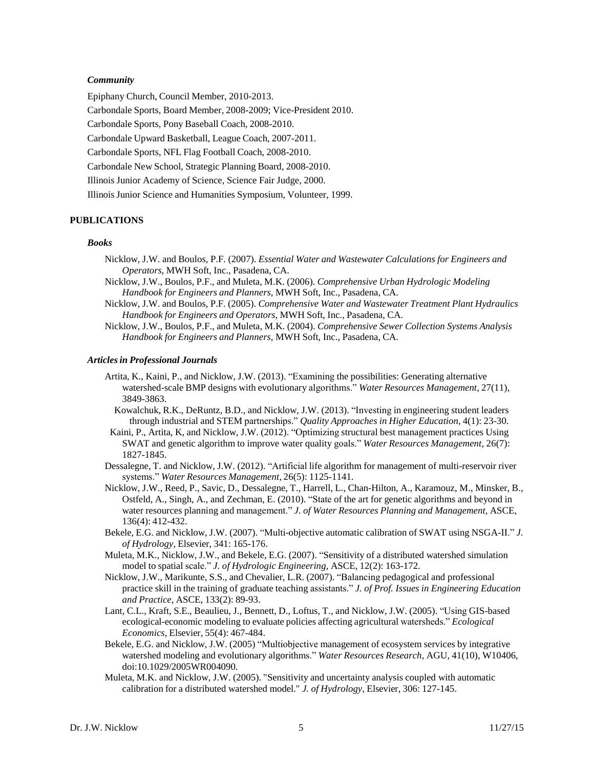## *Community*

Epiphany Church, Council Member, 2010-2013. Carbondale Sports, Board Member, 2008-2009; Vice-President 2010. Carbondale Sports, Pony Baseball Coach, 2008-2010. Carbondale Upward Basketball, League Coach, 2007-2011.

Carbondale Sports, NFL Flag Football Coach, 2008-2010.

Carbondale New School, Strategic Planning Board, 2008-2010.

Illinois Junior Academy of Science, Science Fair Judge, 2000.

IllinoisJunior Science and Humanities Symposium, Volunteer, 1999.

## **PUBLICATIONS**

#### *Books*

- Nicklow, J.W. and Boulos, P.F. (2007). *Essential Water and Wastewater Calculations for Engineers and Operators*, MWH Soft, Inc., Pasadena, CA.
- Nicklow, J.W., Boulos, P.F., and Muleta, M.K. (2006). *Comprehensive Urban Hydrologic Modeling Handbook for Engineers and Planners*, MWH Soft, Inc., Pasadena, CA.
- Nicklow, J.W. and Boulos, P.F. (2005). *Comprehensive Water and Wastewater Treatment Plant Hydraulics Handbook for Engineers and Operators*, MWH Soft, Inc., Pasadena, CA.
- Nicklow, J.W., Boulos, P.F., and Muleta, M.K. (2004). *Comprehensive Sewer Collection Systems Analysis Handbook for Engineers and Planners*, MWH Soft, Inc., Pasadena, CA.

#### *Articlesin Professional Journals*

- Artita, K., Kaini, P., and Nicklow, J.W. (2013). "Examining the possibilities: Generating alternative watershed-scale BMP designs with evolutionary algorithms." *Water Resources Management*, 27(11), 3849-3863.
- Kowalchuk, R.K., DeRuntz, B.D., and Nicklow, J.W. (2013). "Investing in engineering student leaders through industrial and STEM partnerships." *Quality Approaches in Higher Education*, 4(1): 23-30.
- Kaini, P., Artita, K, and Nicklow, J.W. (2012). "Optimizing structural best management practices Using SWAT and genetic algorithm to improve water quality goals." *Water Resources Management*, 26(7): 1827-1845.
- Dessalegne, T. and Nicklow, J.W. (2012). "Artificial life algorithm for management of multi-reservoir river systems." *Water Resources Management*, 26(5): 1125-1141.
- Nicklow, J.W., Reed, P., Savic, D., Dessalegne, T., Harrell, L., Chan-Hilton, A., Karamouz, M., Minsker, B., Ostfeld, A., Singh, A., and Zechman, E. (2010). "State of the art for genetic algorithms and beyond in water resources planning and management." *J. of Water Resources Planning and Management*, ASCE, 136(4): 412-432.
- Bekele, E.G. and Nicklow, J.W. (2007). "Multi-objective automatic calibration of SWAT using NSGA-II." *J. of Hydrology*, Elsevier, 341: 165-176.
- Muleta, M.K., Nicklow, J.W., and Bekele, E.G. (2007). "Sensitivity of a distributed watershed simulation model to spatial scale." *J. of Hydrologic Engineering*, ASCE, 12(2): 163-172.
- Nicklow, J.W., Marikunte, S.S., and Chevalier, L.R. (2007). "Balancing pedagogical and professional practice skill in the training of graduate teaching assistants." *J. of Prof. Issues in Engineering Education and Practice*, ASCE, 133(2): 89-93.
- Lant, C.L., Kraft, S.E., Beaulieu, J., Bennett, D., Loftus, T., and Nicklow, J.W. (2005). "Using GIS-based ecological-economic modeling to evaluate policies affecting agricultural watersheds." *Ecological Economics*, Elsevier, 55(4): 467-484.
- Bekele, E.G. and Nicklow, J.W. (2005) "Multiobjective management of ecosystem services by integrative watershed modeling and evolutionary algorithms." *Water Resources Research*, AGU, 41(10), W10406, doi:10.1029/2005WR004090.
- Muleta, M.K. and Nicklow, J.W. (2005). "Sensitivity and uncertainty analysis coupled with automatic calibration for a distributed watershed model." *J. of Hydrology*, Elsevier, 306: 127-145.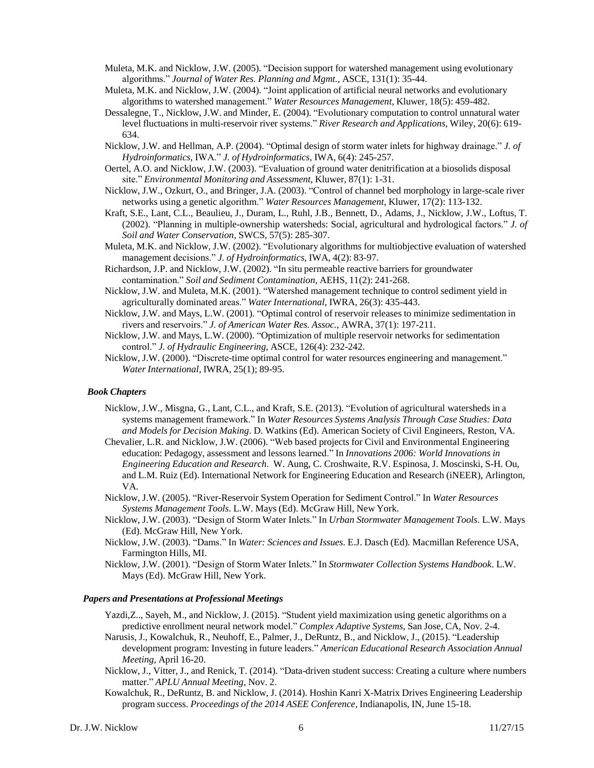- Muleta, M.K. and Nicklow, J.W. (2005). "Decision support for watershed management using evolutionary algorithms." *Journal of Water Res. Planning and Mgmt.*, ASCE, 131(1): 35-44.
- Muleta, M.K. and Nicklow, J.W. (2004). "Joint application of artificial neural networks and evolutionary algorithms to watershed management." *Water Resources Management*, Kluwer, 18(5): 459-482.
- Dessalegne, T., Nicklow, J.W. and Minder, E. (2004). "Evolutionary computation to control unnatural water level fluctuations in multi-reservoir river systems." *River Research and Applications*, Wiley, 20(6): 619- 634.
- Nicklow, J.W. and Hellman, A.P. (2004). "Optimal design of storm water inlets for highway drainage." *J. of Hydroinformatics*, IWA." *J. of Hydroinformatics*, IWA, 6(4): 245-257.
- Oertel, A.O. and Nicklow, J.W. (2003). "Evaluation of ground water denitrification at a biosolids disposal site." *Environmental Monitoring and Assessment*, Kluwer, 87(1): 1-31.
- Nicklow, J.W., Ozkurt, O., and Bringer, J.A. (2003). "Control of channel bed morphology in large-scale river networks using a genetic algorithm." *Water Resources Management*, Kluwer, 17(2): 113-132.
- Kraft, S.E., Lant, C.L., Beaulieu, J., Duram, L., Ruhl, J.B., Bennett, D., Adams, J., Nicklow, J.W., Loftus, T. (2002). "Planning in multiple-ownership watersheds: Social, agricultural and hydrological factors." *J. of Soil and Water Conservation*, SWCS, 57(5): 285-307.
- Muleta, M.K. and Nicklow, J.W. (2002). "Evolutionary algorithms for multiobjective evaluation of watershed management decisions." *J. of Hydroinformatics*, IWA, 4(2): 83-97.
- Richardson, J.P. and Nicklow, J.W. (2002). "In situ permeable reactive barriers for groundwater contamination." *Soil and Sediment Contamination*, AEHS, 11(2): 241-268.
- Nicklow, J.W. and Muleta, M.K. (2001). "Watershed management technique to control sediment yield in agriculturally dominated areas." *WaterInternational*, IWRA, 26(3): 435-443.
- Nicklow, J.W. and Mays, L.W. (2001). "Optimal control of reservoir releases to minimize sedimentation in rivers and reservoirs." *J. of American Water Res. Assoc.*, AWRA, 37(1): 197-211.
- Nicklow, J.W. and Mays, L.W. (2000). "Optimization of multiple reservoir networks for sedimentation control." *J. of Hydraulic Engineering*, ASCE, 126(4): 232-242.
- Nicklow, J.W. (2000). "Discrete-time optimal control for water resources engineering and management." *Water International*, IWRA, 25(1); 89-95.

#### *Book Chapters*

- Nicklow, J.W., Misgna, G., Lant, C.L., and Kraft, S.E. (2013). "Evolution of agricultural watersheds in a systems management framework." In *Water Resources Systems Analysis Through Case Studies: Data and Models for Decision Making*. D. Watkins (Ed). American Society of Civil Engineers, Reston, VA.
- Chevalier, L.R. and Nicklow, J.W. (2006). "Web based projects for Civil and Environmental Engineering education: Pedagogy, assessment and lessons learned." In *Innovations 2006: World Innovations in Engineering Education and Research*. W. Aung, C. Croshwaite, R.V. Espinosa, J. Moscinski, S-H. Ou, and L.M. Ruiz (Ed). International Network for Engineering Education and Research (iNEER), Arlington, VA.
- Nicklow, J.W. (2005). "River-Reservoir System Operation for Sediment Control." In *Water Resources Systems Management Tools*. L.W. Mays (Ed). McGraw Hill, New York.
- Nicklow, J.W. (2003). "Design of Storm Water Inlets." In *Urban Stormwater Management Tools*. L.W. Mays (Ed). McGraw Hill, New York.
- Nicklow, J.W. (2003). "Dams." In *Water: Sciences and Issues*. E.J. Dasch (Ed). Macmillan Reference USA, Farmington Hills, MI.
- Nicklow, J.W. (2001). "Design of Storm Water Inlets." In *Stormwater Collection Systems Handbook*. L.W. Mays (Ed). McGraw Hill, New York.

#### *Papers and Presentations at Professional Meetings*

- Yazdi,Z.., Sayeh, M., and Nicklow, J. (2015). "Student yield maximization using genetic algorithms on a predictive enrollment neural network model." *Complex Adaptive Systems*, San Jose, CA, Nov. 2-4.
- Narusis, J., Kowalchuk, R., Neuhoff, E., Palmer, J., DeRuntz, B., and Nicklow, J., (2015). "Leadership development program: Investing in future leaders." *American Educational Research Association Annual Meeting*, April 16-20.
- Nicklow, J., Vitter, J., and Renick, T. (2014). "Data-driven student success: Creating a culture where numbers matter." *APLU Annual Meeting*, Nov. 2.
- Kowalchuk, R., DeRuntz, B. and Nicklow, J. (2014). Hoshin Kanri X-Matrix Drives Engineering Leadership program success. *Proceedings of the 2014 ASEE Conference*, Indianapolis, IN, June 15-18.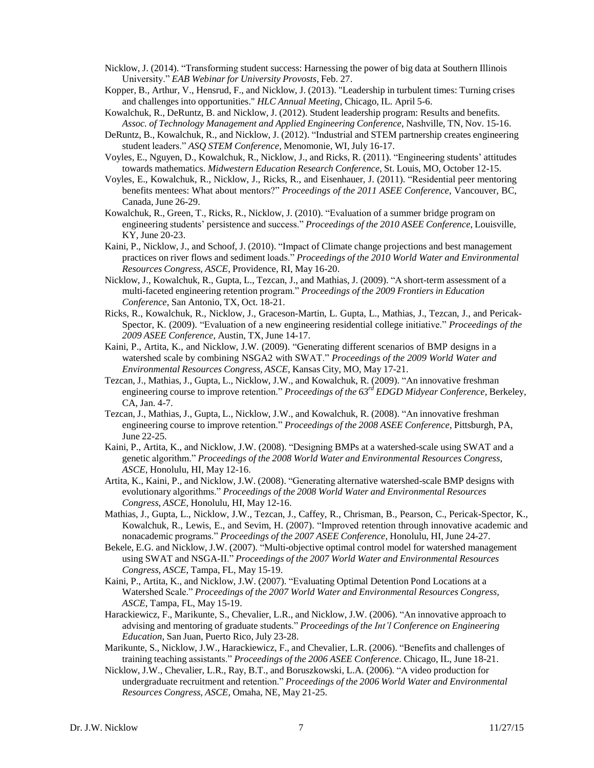- Nicklow, J. (2014). "Transforming student success: Harnessing the power of big data at Southern Illinois University." *EAB Webinar for University Provosts*, Feb. 27.
- Kopper, B., Arthur, V., Hensrud, F., and Nicklow, J. (2013). "Leadership in turbulent times: Turning crises and challenges into opportunities." *HLC Annual Meeting*, Chicago, IL. April 5-6.
- Kowalchuk, R., DeRuntz, B. and Nicklow, J. (2012). Student leadership program: Results and benefits. *Assoc. of Technology Management and Applied Engineering Conference*, Nashville, TN, Nov. 15-16.
- DeRuntz, B., Kowalchuk, R., and Nicklow, J. (2012). "Industrial and STEM partnership creates engineering student leaders." *ASQ STEM Conference*, Menomonie, WI, July 16-17.
- Voyles, E., Nguyen, D., Kowalchuk, R., Nicklow, J., and Ricks, R. (2011). "Engineering students' attitudes towards mathematics. *Midwestern Education Research Conference*, St. Louis, MO, October 12-15.
- Voyles, E., Kowalchuk, R., Nicklow, J., Ricks, R., and Eisenhauer, J. (2011). "Residential peer mentoring benefits mentees: What about mentors?" *Proceedings of the 2011 ASEE Conference*, Vancouver, BC, Canada, June 26-29.
- Kowalchuk, R., Green, T., Ricks, R., Nicklow, J. (2010). "Evaluation of a summer bridge program on engineering students' persistence and success." *Proceedings of the 2010 ASEE Conference*, Louisville, KY, June 20-23.
- Kaini, P., Nicklow, J., and Schoof, J. (2010). "Impact of Climate change projections and best management practices on river flows and sediment loads." *Proceedings of the 2010 World Water and Environmental Resources Congress, ASCE*, Providence, RI, May 16-20.
- Nicklow, J., Kowalchuk, R., Gupta, L., Tezcan, J., and Mathias, J. (2009). "A short-term assessment of a multi-faceted engineering retention program." *Proceedings of the 2009 Frontiers in Education Conference*, San Antonio, TX, Oct. 18-21.
- Ricks, R., Kowalchuk, R., Nicklow, J., Graceson-Martin, L. Gupta, L., Mathias, J., Tezcan, J., and Pericak-Spector, K. (2009). "Evaluation of a new engineering residential college initiative." *Proceedings of the 2009 ASEE Conference*, Austin, TX, June 14-17.
- Kaini, P., Artita, K., and Nicklow, J.W. (2009). "Generating different scenarios of BMP designs in a watershed scale by combining NSGA2 with SWAT." *Proceedings of the 2009 World Water and Environmental Resources Congress, ASCE*, Kansas City, MO, May 17-21.
- Tezcan, J., Mathias, J., Gupta, L., Nicklow, J.W., and Kowalchuk, R. (2009). "An innovative freshman engineering course to improve retention." *Proceedings of the 63rd EDGD Midyear Conference*, Berkeley, CA, Jan. 4-7.
- Tezcan, J., Mathias, J., Gupta, L., Nicklow, J.W., and Kowalchuk, R. (2008). "An innovative freshman engineering course to improve retention." *Proceedings of the 2008 ASEE Conference*, Pittsburgh, PA, June 22-25.
- Kaini, P., Artita, K., and Nicklow, J.W. (2008). "Designing BMPs at a watershed-scale using SWAT and a genetic algorithm." *Proceedings of the 2008 World Water and Environmental Resources Congress, ASCE*, Honolulu, HI, May 12-16.
- Artita, K., Kaini, P., and Nicklow, J.W. (2008). "Generating alternative watershed-scale BMP designs with evolutionary algorithms." *Proceedings of the 2008 World Water and Environmental Resources Congress, ASCE*, Honolulu, HI, May 12-16.
- Mathias, J., Gupta, L., Nicklow, J.W., Tezcan, J., Caffey, R., Chrisman, B., Pearson, C., Pericak-Spector, K., Kowalchuk, R., Lewis, E., and Sevim, H. (2007). "Improved retention through innovative academic and nonacademic programs." *Proceedings of the 2007 ASEE Conference*, Honolulu, HI, June 24-27.
- Bekele, E.G. and Nicklow, J.W. (2007). "Multi-objective optimal control model for watershed management using SWAT and NSGA-II." *Proceedings of the 2007 World Water and Environmental Resources Congress, ASCE*, Tampa, FL, May 15-19.
- Kaini, P., Artita, K., and Nicklow, J.W. (2007). "Evaluating Optimal Detention Pond Locations at a Watershed Scale." *Proceedings of the 2007 World Water and Environmental Resources Congress, ASCE*, Tampa, FL, May 15-19.
- Harackiewicz, F., Marikunte, S., Chevalier, L.R., and Nicklow, J.W. (2006). "An innovative approach to advising and mentoring of graduate students." *Proceedings of the Int'l Conference on Engineering Education*, San Juan, Puerto Rico, July 23-28.
- Marikunte, S., Nicklow, J.W., Harackiewicz, F., and Chevalier, L.R. (2006). "Benefits and challenges of training teaching assistants." *Proceedings of the 2006 ASEE Conference*. Chicago, IL, June 18-21.
- Nicklow, J.W., Chevalier, L.R., Ray, B.T., and Boruszkowski, L.A. (2006). "A video production for undergraduate recruitment and retention." *Proceedings of the 2006 World Water and Environmental Resources Congress, ASCE*, Omaha, NE, May 21-25.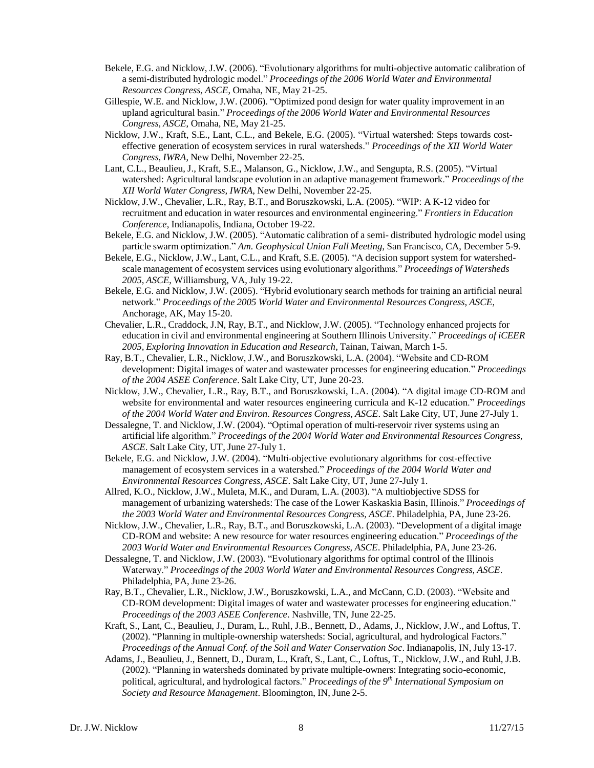- Bekele, E.G. and Nicklow, J.W. (2006). "Evolutionary algorithms for multi-objective automatic calibration of a semi-distributed hydrologic model." *Proceedings of the 2006 World Water and Environmental Resources Congress, ASCE*, Omaha, NE, May 21-25.
- Gillespie, W.E. and Nicklow, J.W. (2006). "Optimized pond design for water quality improvement in an upland agricultural basin." *Proceedings of the 2006 World Water and Environmental Resources Congress, ASCE*, Omaha, NE, May 21-25.
- Nicklow, J.W., Kraft, S.E., Lant, C.L., and Bekele, E.G. (2005). "Virtual watershed: Steps towards costeffective generation of ecosystem services in rural watersheds." *Proceedings of the XII World Water Congress, IWRA*, New Delhi, November 22-25.
- Lant, C.L., Beaulieu, J., Kraft, S.E., Malanson, G., Nicklow, J.W., and Sengupta, R.S. (2005). "Virtual watershed: Agricultural landscape evolution in an adaptive management framework." *Proceedings of the XII World Water Congress, IWRA*, New Delhi, November 22-25.
- Nicklow, J.W., Chevalier, L.R., Ray, B.T., and Boruszkowski, L.A. (2005). "WIP: A K-12 video for recruitment and education in water resources and environmental engineering." *Frontiers in Education Conference*, Indianapolis, Indiana, October 19-22.
- Bekele, E.G. and Nicklow, J.W. (2005). "Automatic calibration of a semi- distributed hydrologic model using particle swarm optimization." *Am. Geophysical Union Fall Meeting*, San Francisco, CA, December 5-9.
- Bekele, E.G., Nicklow, J.W., Lant, C.L., and Kraft, S.E. (2005). "A decision support system for watershedscale management of ecosystem services using evolutionary algorithms." *Proceedings of Watersheds 2005, ASCE*, Williamsburg, VA, July 19-22.
- Bekele, E.G. and Nicklow, J.W. (2005). "Hybrid evolutionary search methods for training an artificial neural network." *Proceedings of the 2005 World Water and Environmental Resources Congress, ASCE*, Anchorage, AK, May 15-20.
- Chevalier, L.R., Craddock, J.N, Ray, B.T., and Nicklow, J.W. (2005). "Technology enhanced projects for education in civil and environmental engineering at Southern Illinois University." *Proceedings of iCEER 2005, Exploring Innovation in Education and Research*, Tainan, Taiwan, March 1-5.
- Ray, B.T., Chevalier, L.R., Nicklow, J.W., and Boruszkowski, L.A. (2004). "Website and CD-ROM development: Digital images of water and wastewater processes for engineering education." *Proceedings of the 2004 ASEE Conference*. Salt Lake City, UT, June 20-23.
- Nicklow, J.W., Chevalier, L.R., Ray, B.T., and Boruszkowski, L.A. (2004). "A digital image CD-ROM and website for environmental and water resources engineering curricula and K-12 education." *Proceedings of the 2004 World Water and Environ. Resources Congress, ASCE*. Salt Lake City, UT, June 27-July 1.
- Dessalegne, T. and Nicklow, J.W. (2004). "Optimal operation of multi-reservoir river systems using an artificial life algorithm." *Proceedings of the 2004 World Water and Environmental Resources Congress, ASCE*. Salt Lake City, UT, June 27-July 1.
- Bekele, E.G. and Nicklow, J.W. (2004). "Multi-objective evolutionary algorithms for cost-effective management of ecosystem services in a watershed." *Proceedings of the 2004 World Water and Environmental Resources Congress, ASCE*. Salt Lake City, UT, June 27-July 1.
- Allred, K.O., Nicklow, J.W., Muleta, M.K., and Duram, L.A. (2003). "A multiobjective SDSS for management of urbanizing watersheds: The case of the Lower Kaskaskia Basin, Illinois." *Proceedings of the 2003 World Water and Environmental Resources Congress, ASCE*. Philadelphia, PA, June 23-26.
- Nicklow, J.W., Chevalier, L.R., Ray, B.T., and Boruszkowski, L.A. (2003). "Development of a digital image CD-ROM and website: A new resource for water resources engineering education." *Proceedings of the 2003 World Water and Environmental Resources Congress, ASCE*. Philadelphia, PA, June 23-26.
- Dessalegne, T. and Nicklow, J.W. (2003). "Evolutionary algorithms for optimal control of the Illinois Waterway." *Proceedings of the 2003 World Water and Environmental Resources Congress, ASCE*. Philadelphia, PA, June 23-26.
- Ray, B.T., Chevalier, L.R., Nicklow, J.W., Boruszkowski, L.A., and McCann, C.D. (2003). "Website and CD-ROM development: Digital images of water and wastewater processes for engineering education." *Proceedings of the 2003 ASEE Conference*. Nashville, TN, June 22-25.
- Kraft, S., Lant, C., Beaulieu, J., Duram, L., Ruhl, J.B., Bennett, D., Adams, J., Nicklow, J.W., and Loftus, T. (2002). "Planning in multiple-ownership watersheds: Social, agricultural, and hydrological Factors." *Proceedings of the Annual Conf. of the Soil and Water Conservation Soc*. Indianapolis, IN, July 13-17.
- Adams, J., Beaulieu, J., Bennett, D., Duram, L., Kraft, S., Lant, C., Loftus, T., Nicklow, J.W., and Ruhl, J.B. (2002). "Planning in watersheds dominated by private multiple-owners: Integrating socio-economic, political, agricultural, and hydrological factors." *Proceedings of the 9 th International Symposium on Society and Resource Management*. Bloomington, IN, June 2-5.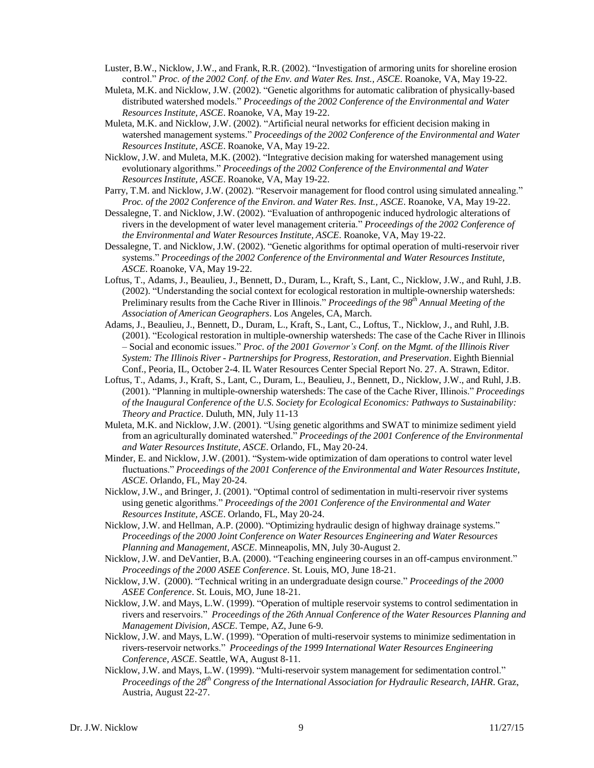- Luster, B.W., Nicklow, J.W., and Frank, R.R. (2002). "Investigation of armoring units for shoreline erosion control." *Proc. of the 2002 Conf. of the Env. and Water Res. Inst., ASCE*. Roanoke, VA, May 19-22.
- Muleta, M.K. and Nicklow, J.W. (2002). "Genetic algorithms for automatic calibration of physically-based distributed watershed models." *Proceedings of the 2002 Conference of the Environmental and Water Resources Institute, ASCE*. Roanoke, VA, May 19-22.
- Muleta, M.K. and Nicklow, J.W. (2002). "Artificial neural networks for efficient decision making in watershed management systems." *Proceedings of the 2002 Conference of the Environmental and Water Resources Institute, ASCE*. Roanoke, VA, May 19-22.
- Nicklow, J.W. and Muleta, M.K. (2002). "Integrative decision making for watershed management using evolutionary algorithms." *Proceedings of the 2002 Conference of the Environmental and Water Resources Institute, ASCE*. Roanoke, VA, May 19-22.
- Parry, T.M. and Nicklow, J.W. (2002). "Reservoir management for flood control using simulated annealing." *Proc. of the 2002 Conference of the Environ. and Water Res. Inst., ASCE*. Roanoke, VA, May 19-22.
- Dessalegne, T. and Nicklow, J.W. (2002). "Evaluation of anthropogenic induced hydrologic alterations of rivers in the development of water level management criteria." *Proceedings of the 2002 Conference of the Environmental and Water Resources Institute, ASCE*. Roanoke, VA, May 19-22.
- Dessalegne, T. and Nicklow, J.W. (2002). "Genetic algorithms for optimal operation of multi-reservoir river systems." *Proceedings of the 2002 Conference of the Environmental and Water Resources Institute, ASCE*. Roanoke, VA, May 19-22.
- Loftus, T., Adams, J., Beaulieu, J., Bennett, D., Duram, L., Kraft, S., Lant, C., Nicklow, J.W., and Ruhl, J.B. (2002). "Understanding the social context for ecological restoration in multiple-ownership watersheds: Preliminary results from the Cache River in Illinois." *Proceedings of the 98th Annual Meeting of the Association of American Geographers*. Los Angeles, CA, March.
- Adams, J., Beaulieu, J., Bennett, D., Duram, L., Kraft, S., Lant, C., Loftus, T., Nicklow, J., and Ruhl, J.B. (2001). "Ecological restoration in multiple-ownership watersheds: The case of the Cache River in Illinois – Social and economic issues." *Proc. of the 2001 Governor's Conf. on the Mgmt. of the Illinois River System: The Illinois River - Partnerships for Progress, Restoration, and Preservation*. Eighth Biennial Conf., Peoria, IL, October 2-4. IL Water Resources Center Special Report No. 27. A. Strawn, Editor.
- Loftus, T., Adams, J., Kraft, S., Lant, C., Duram, L., Beaulieu, J., Bennett, D., Nicklow, J.W., and Ruhl, J.B. (2001). "Planning in multiple-ownership watersheds: The case of the Cache River, Illinois." *Proceedings of the Inaugural Conference of the U.S. Society for Ecological Economics: Pathways to Sustainability: Theory and Practice*. Duluth, MN, July 11-13
- Muleta, M.K. and Nicklow, J.W. (2001). "Using genetic algorithms and SWAT to minimize sediment yield from an agriculturally dominated watershed." *Proceedings of the 2001 Conference of the Environmental and Water Resources Institute, ASCE*. Orlando, FL, May 20-24.
- Minder, E. and Nicklow, J.W. (2001). "System-wide optimization of dam operations to control water level fluctuations." *Proceedings of the 2001 Conference of the Environmental and Water Resources Institute, ASCE*. Orlando, FL, May 20-24.
- Nicklow, J.W., and Bringer, J. (2001). "Optimal control of sedimentation in multi-reservoir river systems using genetic algorithms." *Proceedings of the 2001 Conference of the Environmental and Water Resources Institute, ASCE*. Orlando, FL, May 20-24.
- Nicklow, J.W. and Hellman, A.P. (2000). "Optimizing hydraulic design of highway drainage systems." *Proceedings of the 2000 Joint Conference on Water Resources Engineering and Water Resources Planning and Management, ASCE*. Minneapolis, MN, July 30-August 2.
- Nicklow, J.W. and DeVantier, B.A. (2000). "Teaching engineering courses in an off-campus environment." *Proceedings of the 2000 ASEE Conference*. St. Louis, MO, June 18-21.
- Nicklow, J.W. (2000). "Technical writing in an undergraduate design course." *Proceedings of the 2000 ASEE Conference*. St. Louis, MO, June 18-21.
- Nicklow, J.W. and Mays, L.W. (1999). "Operation of multiple reservoir systems to control sedimentation in rivers and reservoirs." *Proceedings of the 26th Annual Conference of the Water Resources Planning and Management Division, ASCE*. Tempe, AZ, June 6-9*.*
- Nicklow, J.W. and Mays, L.W. (1999). "Operation of multi-reservoir systems to minimize sedimentation in rivers-reservoir networks." *Proceedings of the 1999 International Water Resources Engineering Conference, ASCE*. Seattle, WA, August 8-11.
- Nicklow, J.W. and Mays, L.W. (1999). "Multi-reservoir system management for sedimentation control." *Proceedings of the 28th Congress of the International Association for Hydraulic Research, IAHR*. Graz, Austria, August 22-27.